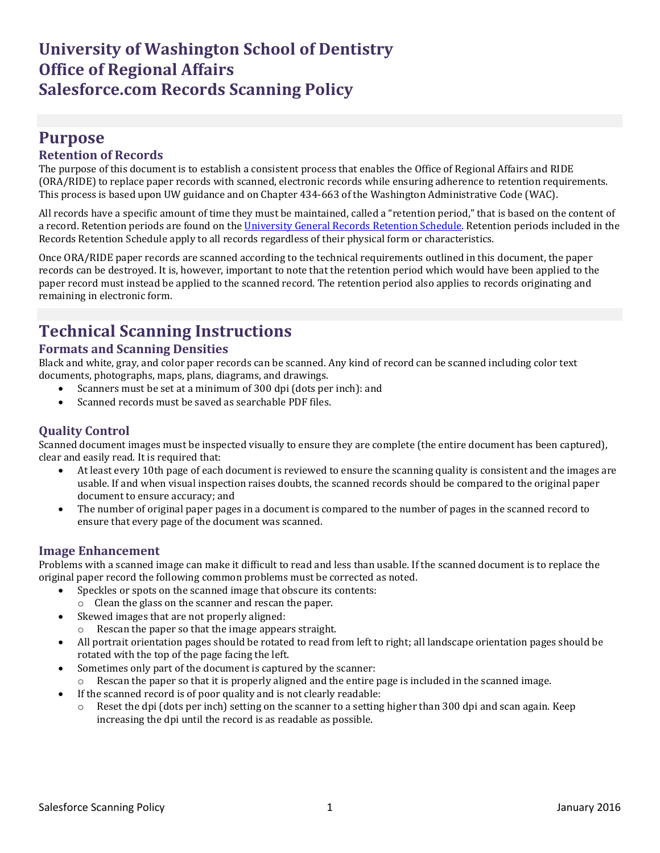## **Purpose**

### **Retention of Records**

The purpose of this document is to establish a consistent process that enables the Office of Regional Affairs and RIDE (ORA/RIDE) to replace paper records with scanned, electronic records while ensuring adherence to retention requirements. This process is based upon UW guidance and on Chapter 434-663 of the Washington Administrative Code (WAC).

All records have a specific amount of time they must be maintained, called a "retention period," that is based on the content of a record. Retention periods are found on the [University General Records](http://f2.washington.edu/fm/recmgt/retentionschedules/gs/general/uwgsOfficeAdmin) Retention Schedule. Retention periods included in the Records Retention Schedule apply to all records regardless of their physical form or characteristics.

Once ORA/RIDE paper records are scanned according to the technical requirements outlined in this document, the paper records can be destroyed. It is, however, important to note that the retention period which would have been applied to the paper record must instead be applied to the scanned record. The retention period also applies to records originating and remaining in electronic form.

# **Technical Scanning Instructions**

### **Formats and Scanning Densities**

Black and white, gray, and color paper records can be scanned. Any kind of record can be scanned including color text documents, photographs, maps, plans, diagrams, and drawings.

- Scanners must be set at a minimum of 300 dpi (dots per inch): and
- Scanned records must be saved as searchable PDF files.

### **Quality Control**

Scanned document images must be inspected visually to ensure they are complete (the entire document has been captured), clear and easily read. It is required that:

- At least every 10th page of each document is reviewed to ensure the scanning quality is consistent and the images are usable. If and when visual inspection raises doubts, the scanned records should be compared to the original paper document to ensure accuracy; and
- The number of original paper pages in a document is compared to the number of pages in the scanned record to ensure that every page of the document was scanned.

### **Image Enhancement**

Problems with a scanned image can make it difficult to read and less than usable. If the scanned document is to replace the original paper record the following common problems must be corrected as noted.

- Speckles or spots on the scanned image that obscure its contents:
- o Clean the glass on the scanner and rescan the paper.
- Skewed images that are not properly aligned:
	- o Rescan the paper so that the image appears straight.
- All portrait orientation pages should be rotated to read from left to right; all landscape orientation pages should be rotated with the top of the page facing the left.
- Sometimes only part of the document is captured by the scanner:
	- Rescan the paper so that it is properly aligned and the entire page is included in the scanned image.
- If the scanned record is of poor quality and is not clearly readable:
	- $\circ$  Reset the dpi (dots per inch) setting on the scanner to a setting higher than 300 dpi and scan again. Keep increasing the dpi until the record is as readable as possible.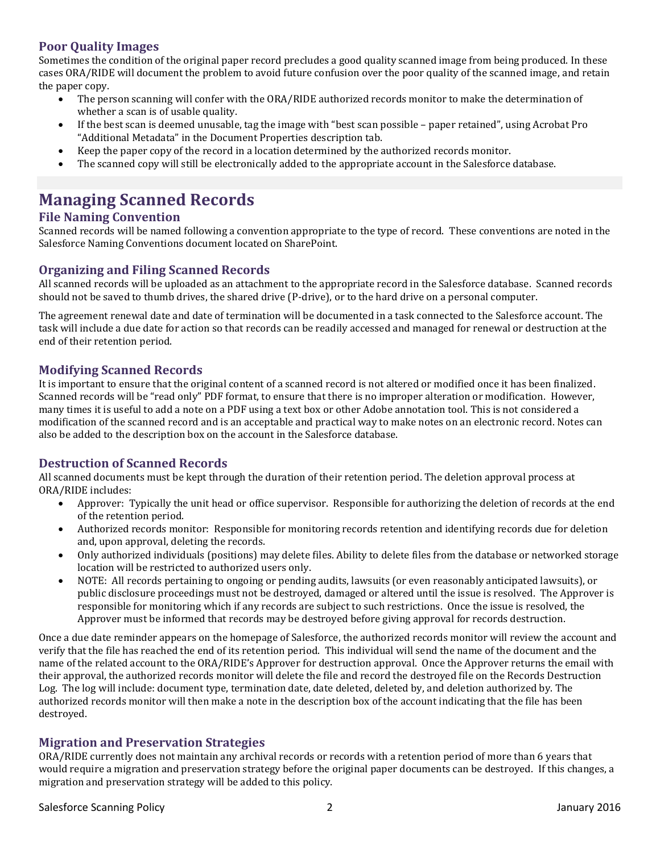### **Poor Quality Images**

Sometimes the condition of the original paper record precludes a good quality scanned image from being produced. In these cases ORA/RIDE will document the problem to avoid future confusion over the poor quality of the scanned image, and retain the paper copy.

- The person scanning will confer with the ORA/RIDE authorized records monitor to make the determination of whether a scan is of usable quality.
- If the best scan is deemed unusable, tag the image with "best scan possible paper retained", using Acrobat Pro "Additional Metadata" in the Document Properties description tab.
- Keep the paper copy of the record in a location determined by the authorized records monitor.
- The scanned copy will still be electronically added to the appropriate account in the Salesforce database.

# **Managing Scanned Records**

### **File Naming Convention**

Scanned records will be named following a convention appropriate to the type of record. These conventions are noted in the Salesforce Naming Conventions document located on SharePoint.

### **Organizing and Filing Scanned Records**

All scanned records will be uploaded as an attachment to the appropriate record in the Salesforce database. Scanned records should not be saved to thumb drives, the shared drive (P-drive), or to the hard drive on a personal computer.

The agreement renewal date and date of termination will be documented in a task connected to the Salesforce account. The task will include a due date for action so that records can be readily accessed and managed for renewal or destruction at the end of their retention period.

### **Modifying Scanned Records**

It is important to ensure that the original content of a scanned record is not altered or modified once it has been finalized. Scanned records will be "read only" PDF format, to ensure that there is no improper alteration or modification. However, many times it is useful to add a note on a PDF using a text box or other Adobe annotation tool. This is not considered a modification of the scanned record and is an acceptable and practical way to make notes on an electronic record. Notes can also be added to the description box on the account in the Salesforce database.

#### **Destruction of Scanned Records**

All scanned documents must be kept through the duration of their retention period. The deletion approval process at ORA/RIDE includes:

- Approver: Typically the unit head or office supervisor. Responsible for authorizing the deletion of records at the end of the retention period.
- Authorized records monitor: Responsible for monitoring records retention and identifying records due for deletion and, upon approval, deleting the records.
- Only authorized individuals (positions) may delete files. Ability to delete files from the database or networked storage location will be restricted to authorized users only.
- NOTE: All records pertaining to ongoing or pending audits, lawsuits (or even reasonably anticipated lawsuits), or public disclosure proceedings must not be destroyed, damaged or altered until the issue is resolved. The Approver is responsible for monitoring which if any records are subject to such restrictions. Once the issue is resolved, the Approver must be informed that records may be destroyed before giving approval for records destruction.

Once a due date reminder appears on the homepage of Salesforce, the authorized records monitor will review the account and verify that the file has reached the end of its retention period. This individual will send the name of the document and the name of the related account to the ORA/RIDE's Approver for destruction approval. Once the Approver returns the email with their approval, the authorized records monitor will delete the file and record the destroyed file on the Records Destruction Log. The log will include: document type, termination date, date deleted, deleted by, and deletion authorized by. The authorized records monitor will then make a note in the description box of the account indicating that the file has been destroyed.

#### **Migration and Preservation Strategies**

ORA/RIDE currently does not maintain any archival records or records with a retention period of more than 6 years that would require a migration and preservation strategy before the original paper documents can be destroyed. If this changes, a migration and preservation strategy will be added to this policy.